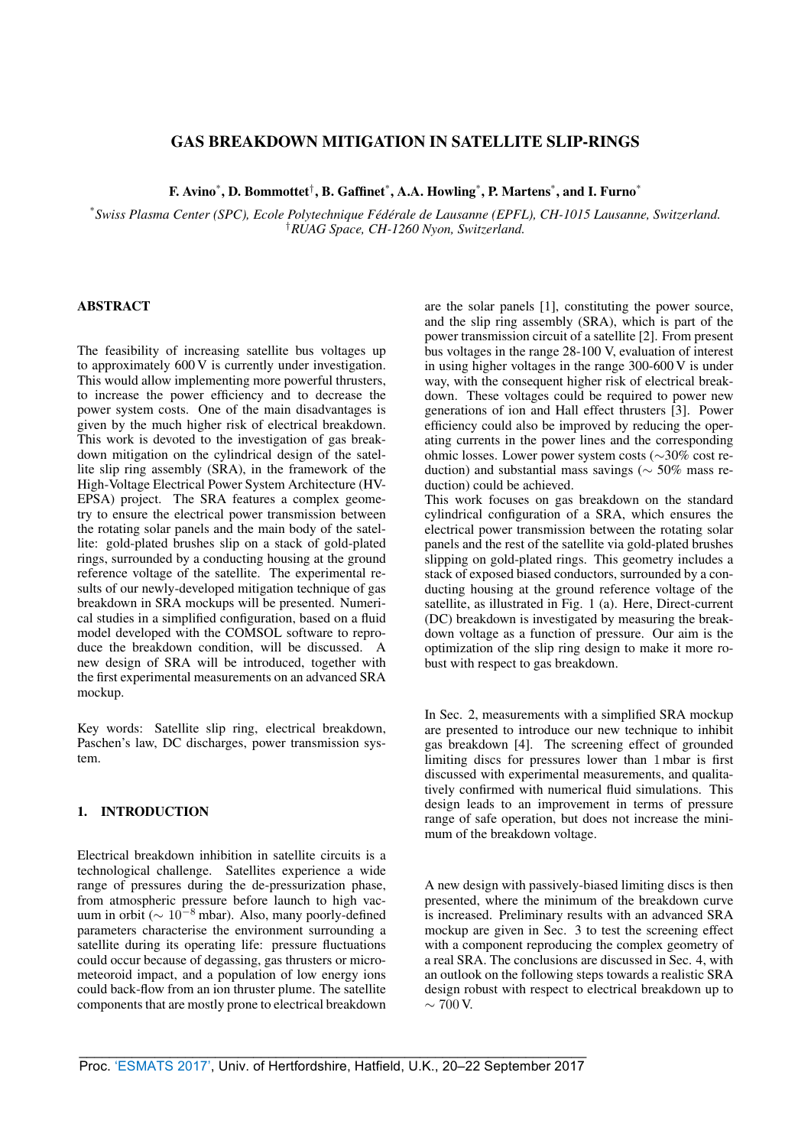# GAS BREAKDOWN MITIGATION IN SATELLITE SLIP-RINGS

F. Avino\*, D. Bommottet<sup>†</sup>, B. Gaffinet\*, A.A. Howling\*, P. Martens\*, and I. Furno\*

\**Swiss Plasma Center (SPC), Ecole Polytechnique Fed´ erale de Lausanne (EPFL), CH-1015 Lausanne, Switzerland. ´* †*RUAG Space, CH-1260 Nyon, Switzerland.*

# ABSTRACT

The feasibility of increasing satellite bus voltages up to approximately 600 V is currently under investigation. This would allow implementing more powerful thrusters, to increase the power efficiency and to decrease the power system costs. One of the main disadvantages is given by the much higher risk of electrical breakdown. This work is devoted to the investigation of gas breakdown mitigation on the cylindrical design of the satellite slip ring assembly (SRA), in the framework of the High-Voltage Electrical Power System Architecture (HV-EPSA) project. The SRA features a complex geometry to ensure the electrical power transmission between the rotating solar panels and the main body of the satellite: gold-plated brushes slip on a stack of gold-plated rings, surrounded by a conducting housing at the ground reference voltage of the satellite. The experimental results of our newly-developed mitigation technique of gas breakdown in SRA mockups will be presented. Numerical studies in a simplified configuration, based on a fluid model developed with the COMSOL software to reproduce the breakdown condition, will be discussed. A new design of SRA will be introduced, together with the first experimental measurements on an advanced SRA mockup.

Key words: Satellite slip ring, electrical breakdown, Paschen's law, DC discharges, power transmission system.

## 1. INTRODUCTION

Electrical breakdown inhibition in satellite circuits is a technological challenge. Satellites experience a wide range of pressures during the de-pressurization phase, from atmospheric pressure before launch to high vacuum in orbit ( $\sim 10^{-8}$  mbar). Also, many poorly-defined parameters characterise the environment surrounding a satellite during its operating life: pressure fluctuations could occur because of degassing, gas thrusters or micrometeoroid impact, and a population of low energy ions could back-flow from an ion thruster plume. The satellite components that are mostly prone to electrical breakdown are the solar panels [1], constituting the power source, and the slip ring assembly (SRA), which is part of the power transmission circuit of a satellite [2]. From present bus voltages in the range 28-100 V, evaluation of interest in using higher voltages in the range 300-600 V is under way, with the consequent higher risk of electrical breakdown. These voltages could be required to power new generations of ion and Hall effect thrusters [3]. Power efficiency could also be improved by reducing the operating currents in the power lines and the corresponding ohmic losses. Lower power system costs (∼30% cost reduction) and substantial mass savings ( $\sim$  50% mass reduction) could be achieved.

This work focuses on gas breakdown on the standard cylindrical configuration of a SRA, which ensures the electrical power transmission between the rotating solar panels and the rest of the satellite via gold-plated brushes slipping on gold-plated rings. This geometry includes a stack of exposed biased conductors, surrounded by a conducting housing at the ground reference voltage of the satellite, as illustrated in Fig. 1 (a). Here, Direct-current (DC) breakdown is investigated by measuring the breakdown voltage as a function of pressure. Our aim is the optimization of the slip ring design to make it more robust with respect to gas breakdown.

In Sec. 2, measurements with a simplified SRA mockup are presented to introduce our new technique to inhibit gas breakdown [4]. The screening effect of grounded limiting discs for pressures lower than 1 mbar is first discussed with experimental measurements, and qualitatively confirmed with numerical fluid simulations. This design leads to an improvement in terms of pressure range of safe operation, but does not increase the minimum of the breakdown voltage.

A new design with passively-biased limiting discs is then presented, where the minimum of the breakdown curve is increased. Preliminary results with an advanced SRA mockup are given in Sec. 3 to test the screening effect with a component reproducing the complex geometry of a real SRA. The conclusions are discussed in Sec. 4, with an outlook on the following steps towards a realistic SRA design robust with respect to electrical breakdown up to  $\sim$  700 V.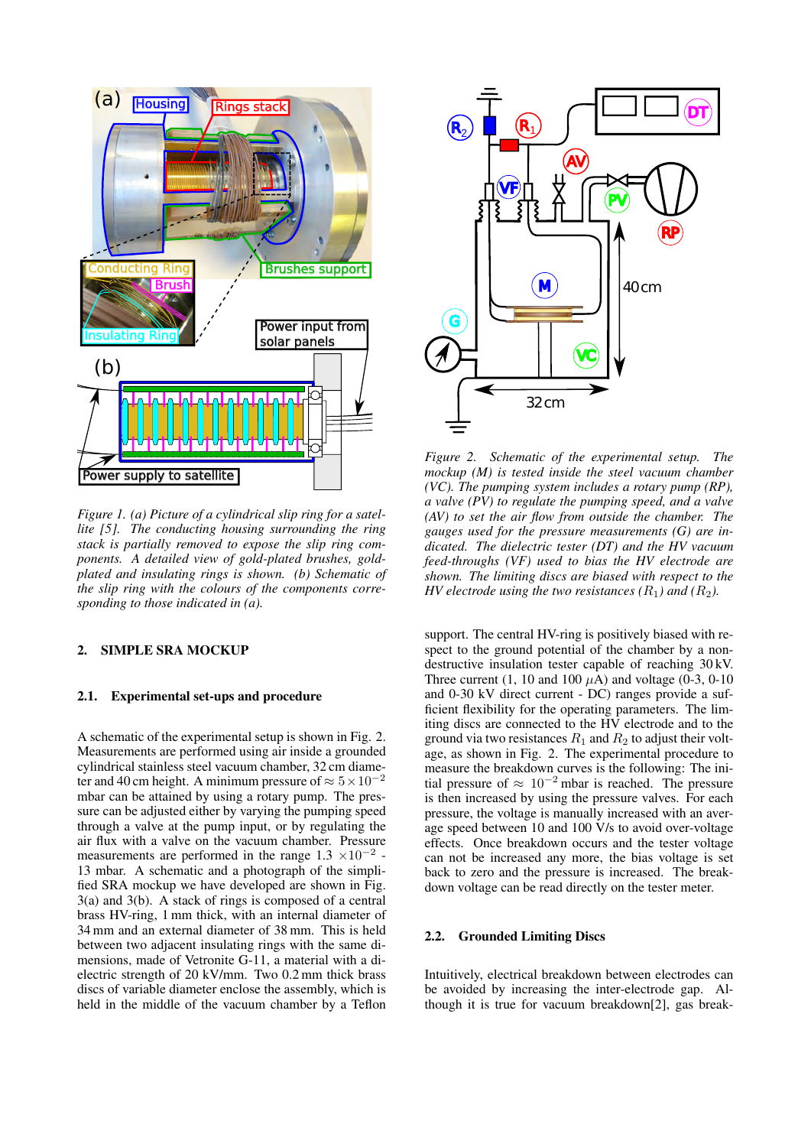

*Figure 1. (a) Picture of a cylindrical slip ring for a satellite [5]. The conducting housing surrounding the ring stack is partially removed to expose the slip ring components. A detailed view of gold-plated brushes, goldplated and insulating rings is shown. (b) Schematic of the slip ring with the colours of the components corresponding to those indicated in (a).*

# 2. SIMPLE SRA MOCKUP

#### 2.1. Experimental set-ups and procedure

A schematic of the experimental setup is shown in Fig. 2. Measurements are performed using air inside a grounded cylindrical stainless steel vacuum chamber, 32 cm diameter and 40 cm height. A minimum pressure of  $\approx 5 \times 10^{-2}$ mbar can be attained by using a rotary pump. The pressure can be adjusted either by varying the pumping speed through a valve at the pump input, or by regulating the air flux with a valve on the vacuum chamber. Pressure measurements are performed in the range  $1.3 \times 10^{-2}$ . 13 mbar. A schematic and a photograph of the simplified SRA mockup we have developed are shown in Fig. 3(a) and 3(b). A stack of rings is composed of a central brass HV-ring, 1 mm thick, with an internal diameter of 34 mm and an external diameter of 38 mm. This is held between two adjacent insulating rings with the same dimensions, made of Vetronite G-11, a material with a dielectric strength of 20 kV/mm. Two 0.2 mm thick brass discs of variable diameter enclose the assembly, which is held in the middle of the vacuum chamber by a Teflon



*Figure 2. Schematic of the experimental setup. The mockup (M) is tested inside the steel vacuum chamber (VC). The pumping system includes a rotary pump (RP), a valve (PV) to regulate the pumping speed, and a valve (AV) to set the air flow from outside the chamber. The gauges used for the pressure measurements (G) are indicated. The dielectric tester (DT) and the HV vacuum feed-throughs (VF) used to bias the HV electrode are shown. The limiting discs are biased with respect to the HV electrode using the two resistances (R<sub>1</sub>) and (R<sub>2</sub>).* 

support. The central HV-ring is positively biased with respect to the ground potential of the chamber by a nondestructive insulation tester capable of reaching 30 kV. Three current  $(1, 10 \text{ and } 100 \mu\text{A})$  and voltage  $(0-3, 0-10)$ and 0-30 kV direct current - DC) ranges provide a sufficient flexibility for the operating parameters. The limiting discs are connected to the HV electrode and to the ground via two resistances  $R_1$  and  $R_2$  to adjust their voltage, as shown in Fig. 2. The experimental procedure to measure the breakdown curves is the following: The initial pressure of  $\approx 10^{-2}$  mbar is reached. The pressure is then increased by using the pressure valves. For each pressure, the voltage is manually increased with an average speed between 10 and 100 V/s to avoid over-voltage effects. Once breakdown occurs and the tester voltage can not be increased any more, the bias voltage is set back to zero and the pressure is increased. The breakdown voltage can be read directly on the tester meter.

#### 2.2. Grounded Limiting Discs

Intuitively, electrical breakdown between electrodes can be avoided by increasing the inter-electrode gap. Although it is true for vacuum breakdown[2], gas break-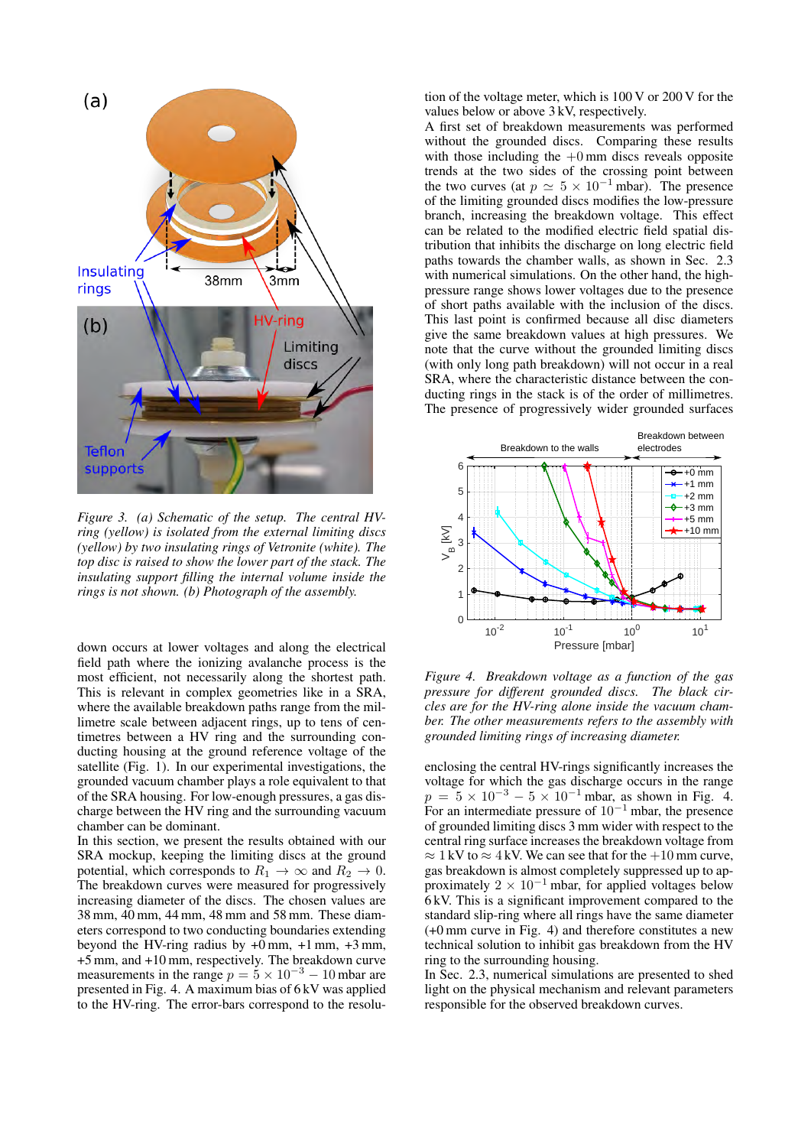

*Figure 3. (a) Schematic of the setup. The central HVring (yellow) is isolated from the external limiting discs (yellow) by two insulating rings of Vetronite (white). The top disc is raised to show the lower part of the stack. The insulating support filling the internal volume inside the rings is not shown. (b) Photograph of the assembly.*

down occurs at lower voltages and along the electrical field path where the ionizing avalanche process is the most efficient, not necessarily along the shortest path. This is relevant in complex geometries like in a SRA, where the available breakdown paths range from the millimetre scale between adjacent rings, up to tens of centimetres between a HV ring and the surrounding conducting housing at the ground reference voltage of the satellite (Fig. 1). In our experimental investigations, the grounded vacuum chamber plays a role equivalent to that of the SRA housing. For low-enough pressures, a gas discharge between the HV ring and the surrounding vacuum chamber can be dominant.

In this section, we present the results obtained with our SRA mockup, keeping the limiting discs at the ground potential, which corresponds to  $R_1 \rightarrow \infty$  and  $R_2 \rightarrow 0$ . The breakdown curves were measured for progressively increasing diameter of the discs. The chosen values are 38 mm, 40 mm, 44 mm, 48 mm and 58 mm. These diameters correspond to two conducting boundaries extending beyond the HV-ring radius by  $+0$  mm,  $+1$  mm,  $+3$  mm, +5 mm, and +10 mm, respectively. The breakdown curve measurements in the range  $p = 5 \times 10^{-3} - 10$  mbar are presented in Fig. 4. A maximum bias of 6 kV was applied to the HV-ring. The error-bars correspond to the resolution of the voltage meter, which is 100 V or 200 V for the values below or above 3 kV, respectively.

A first set of breakdown measurements was performed without the grounded discs. Comparing these results with those including the  $+0$  mm discs reveals opposite trends at the two sides of the crossing point between the two curves (at  $p \simeq 5 \times 10^{-1}$  mbar). The presence of the limiting grounded discs modifies the low-pressure branch, increasing the breakdown voltage. This effect can be related to the modified electric field spatial distribution that inhibits the discharge on long electric field paths towards the chamber walls, as shown in Sec. 2.3 with numerical simulations. On the other hand, the highpressure range shows lower voltages due to the presence of short paths available with the inclusion of the discs. This last point is confirmed because all disc diameters give the same breakdown values at high pressures. We note that the curve without the grounded limiting discs (with only long path breakdown) will not occur in a real SRA, where the characteristic distance between the conducting rings in the stack is of the order of millimetres. The presence of progressively wider grounded surfaces



*Figure 4. Breakdown voltage as a function of the gas pressure for different grounded discs. The black circles are for the HV-ring alone inside the vacuum chamber. The other measurements refers to the assembly with grounded limiting rings of increasing diameter.*

enclosing the central HV-rings significantly increases the voltage for which the gas discharge occurs in the range  $p = 5 \times 10^{-3} - 5 \times 10^{-1}$  mbar, as shown in Fig. 4. For an intermediate pressure of  $10^{-1}$  mbar, the presence of grounded limiting discs 3 mm wider with respect to the central ring surface increases the breakdown voltage from  $\approx 1 \text{kV}$  to  $\approx 4 \text{kV}$ . We can see that for the  $+10$  mm curve, gas breakdown is almost completely suppressed up to approximately  $2 \times 10^{-1}$  mbar, for applied voltages below 6 kV. This is a significant improvement compared to the standard slip-ring where all rings have the same diameter (+0 mm curve in Fig. 4) and therefore constitutes a new technical solution to inhibit gas breakdown from the HV ring to the surrounding housing.

In Sec. 2.3, numerical simulations are presented to shed light on the physical mechanism and relevant parameters responsible for the observed breakdown curves.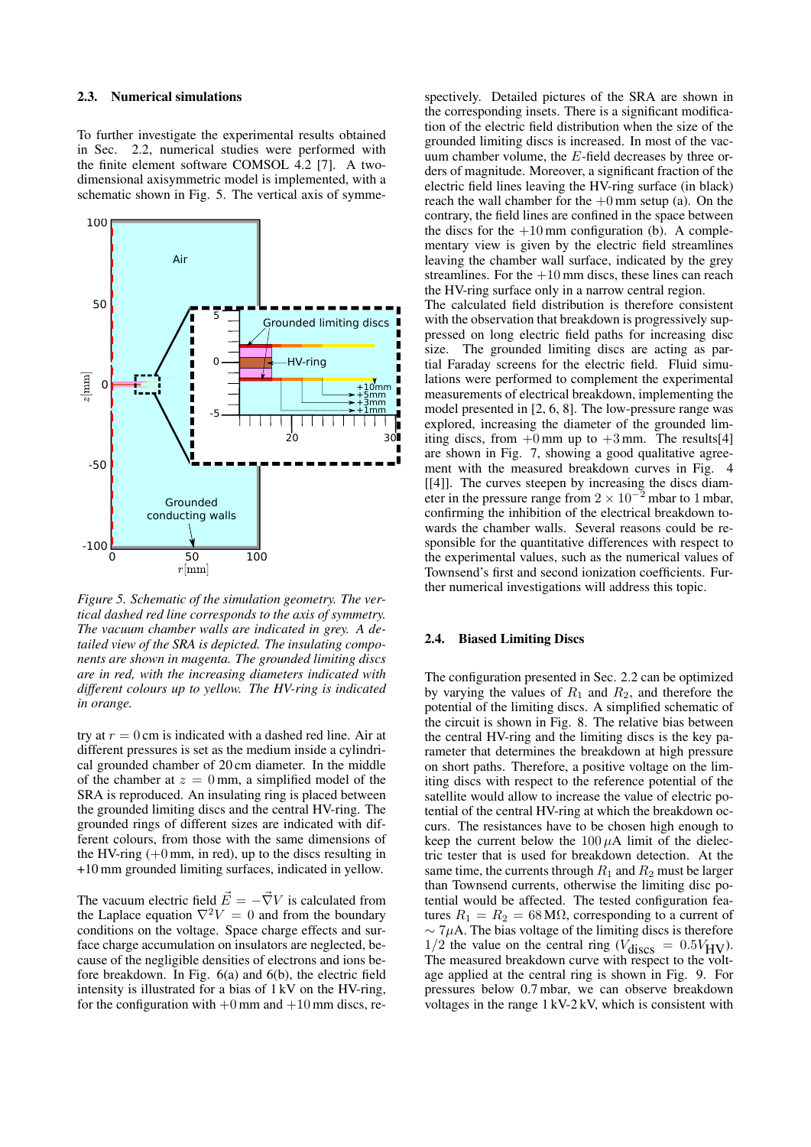### 2.3. Numerical simulations

To further investigate the experimental results obtained in Sec. 2.2, numerical studies were performed with the finite element software COMSOL 4.2 [7]. A twodimensional axisymmetric model is implemented, with a schematic shown in Fig. 5. The vertical axis of symme-



*Figure 5. Schematic of the simulation geometry. The vertical dashed red line corresponds to the axis of symmetry. The vacuum chamber walls are indicated in grey. A detailed view of the SRA is depicted. The insulating components are shown in magenta. The grounded limiting discs are in red, with the increasing diameters indicated with different colours up to yellow. The HV-ring is indicated in orange.*

try at  $r = 0$  cm is indicated with a dashed red line. Air at different pressures is set as the medium inside a cylindrical grounded chamber of 20 cm diameter. In the middle of the chamber at  $z = 0$  mm, a simplified model of the SRA is reproduced. An insulating ring is placed between the grounded limiting discs and the central HV-ring. The grounded rings of different sizes are indicated with different colours, from those with the same dimensions of the HV-ring  $(+0 \text{ mm}, \text{ in red})$ , up to the discs resulting in +10 mm grounded limiting surfaces, indicated in yellow.

The vacuum electric field  $\vec{E} = -\vec{\nabla}V$  is calculated from the Laplace equation  $\nabla^2 V = 0$  and from the boundary conditions on the voltage. Space charge effects and surface charge accumulation on insulators are neglected, because of the negligible densities of electrons and ions before breakdown. In Fig. 6(a) and 6(b), the electric field intensity is illustrated for a bias of 1 kV on the HV-ring, for the configuration with  $+0$  mm and  $+10$  mm discs, respectively. Detailed pictures of the SRA are shown in the corresponding insets. There is a significant modification of the electric field distribution when the size of the grounded limiting discs is increased. In most of the vacuum chamber volume, the E-field decreases by three orders of magnitude. Moreover, a significant fraction of the electric field lines leaving the HV-ring surface (in black) reach the wall chamber for the  $+0$  mm setup (a). On the contrary, the field lines are confined in the space between the discs for the  $+10$  mm configuration (b). A complementary view is given by the electric field streamlines leaving the chamber wall surface, indicated by the grey streamlines. For the  $+10$  mm discs, these lines can reach the HV-ring surface only in a narrow central region. The calculated field distribution is therefore consistent

with the observation that breakdown is progressively suppressed on long electric field paths for increasing disc size. The grounded limiting discs are acting as partial Faraday screens for the electric field. Fluid simulations were performed to complement the experimental measurements of electrical breakdown, implementing the model presented in [2, 6, 8]. The low-pressure range was explored, increasing the diameter of the grounded limiting discs, from  $+0$  mm up to  $+3$  mm. The results[4] are shown in Fig. 7, showing a good qualitative agreement with the measured breakdown curves in Fig. 4 [[4]]. The curves steepen by increasing the discs diameter in the pressure range from  $2 \times 10^{-2}$  mbar to 1 mbar, confirming the inhibition of the electrical breakdown towards the chamber walls. Several reasons could be responsible for the quantitative differences with respect to the experimental values, such as the numerical values of Townsend's first and second ionization coefficients. Further numerical investigations will address this topic.

### 2.4. Biased Limiting Discs

The configuration presented in Sec. 2.2 can be optimized by varying the values of  $R_1$  and  $R_2$ , and therefore the potential of the limiting discs. A simplified schematic of the circuit is shown in Fig. 8. The relative bias between the central HV-ring and the limiting discs is the key parameter that determines the breakdown at high pressure on short paths. Therefore, a positive voltage on the limiting discs with respect to the reference potential of the satellite would allow to increase the value of electric potential of the central HV-ring at which the breakdown occurs. The resistances have to be chosen high enough to keep the current below the  $100 \mu A$  limit of the dielectric tester that is used for breakdown detection. At the same time, the currents through  $R_1$  and  $R_2$  must be larger than Townsend currents, otherwise the limiting disc potential would be affected. The tested configuration features  $R_1 = R_2 = 68 \text{ M}\Omega$ , corresponding to a current of  $\sim$  7µA. The bias voltage of the limiting discs is therefore  $1/2$  the value on the central ring ( $V_{\text{discs}} = 0.5V_{\text{HV}}$ ). The measured breakdown curve with respect to the voltage applied at the central ring is shown in Fig. 9. For pressures below 0.7 mbar, we can observe breakdown voltages in the range 1 kV-2 kV, which is consistent with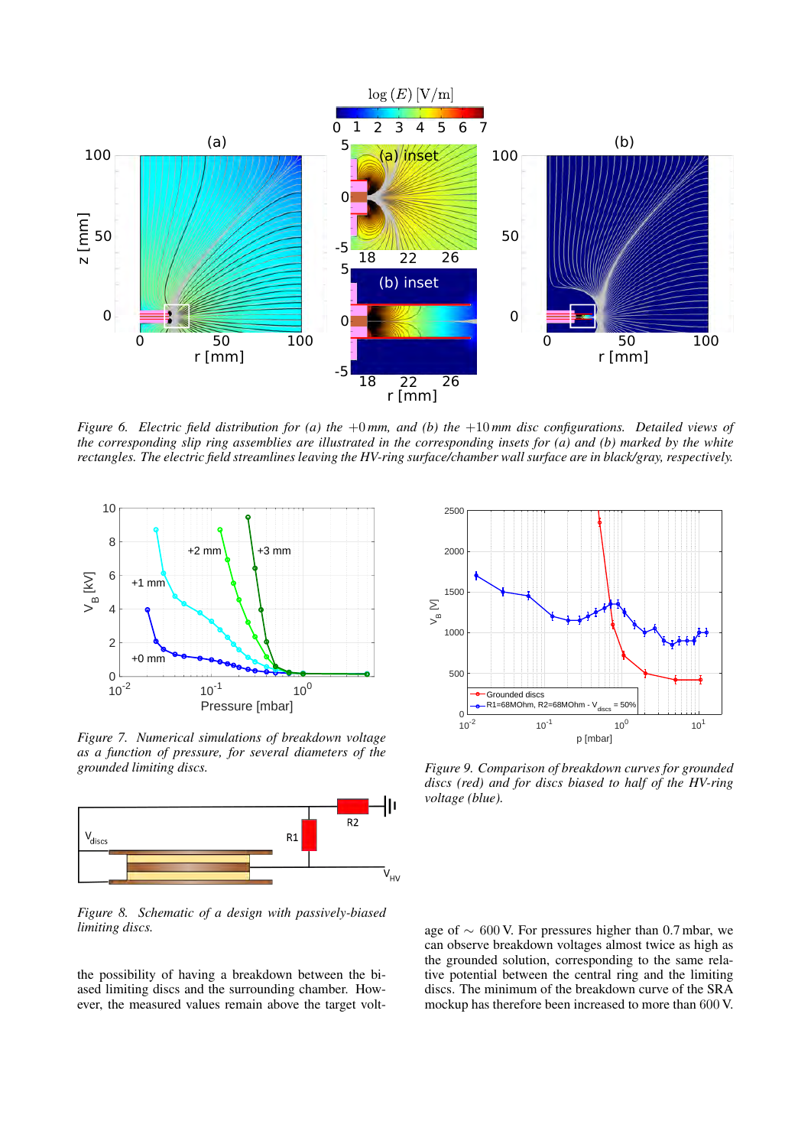

*Figure 6. Electric field distribution for (a) the* +0 *mm, and (b) the* +10 *mm disc configurations. Detailed views of the corresponding slip ring assemblies are illustrated in the corresponding insets for (a) and (b) marked by the white rectangles. The electric field streamlines leaving the HV-ring surface/chamber wall surface are in black/gray, respectively.*



*Figure 7. Numerical simulations of breakdown voltage as a function of pressure, for several diameters of the grounded limiting discs.*



*Figure 8. Schematic of a design with passively-biased limiting discs.*

the possibility of having a breakdown between the biased limiting discs and the surrounding chamber. However, the measured values remain above the target volt-



*Figure 9. Comparison of breakdown curves for grounded discs (red) and for discs biased to half of the HV-ring voltage (blue).*

age of ∼ 600 V. For pressures higher than 0.7 mbar, we can observe breakdown voltages almost twice as high as the grounded solution, corresponding to the same relative potential between the central ring and the limiting discs. The minimum of the breakdown curve of the SRA mockup has therefore been increased to more than 600 V.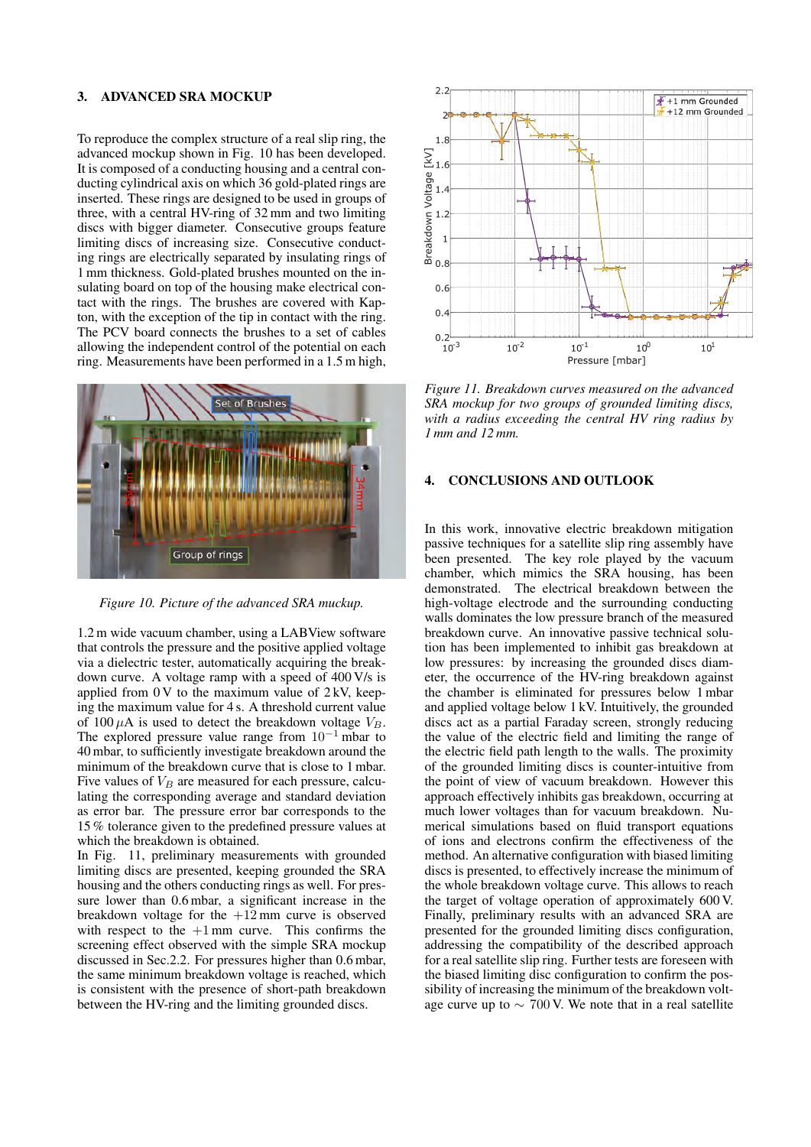## 3. ADVANCED SRA MOCKUP

To reproduce the complex structure of a real slip ring, the advanced mockup shown in Fig. 10 has been developed. It is composed of a conducting housing and a central conducting cylindrical axis on which 36 gold-plated rings are inserted. These rings are designed to be used in groups of three, with a central HV-ring of 32 mm and two limiting discs with bigger diameter. Consecutive groups feature limiting discs of increasing size. Consecutive conducting rings are electrically separated by insulating rings of 1 mm thickness. Gold-plated brushes mounted on the insulating board on top of the housing make electrical contact with the rings. The brushes are covered with Kapton, with the exception of the tip in contact with the ring. The PCV board connects the brushes to a set of cables allowing the independent control of the potential on each ring. Measurements have been performed in a 1.5 m high,



*Figure 10. Picture of the advanced SRA muckup.*

1.2 m wide vacuum chamber, using a LABView software that controls the pressure and the positive applied voltage via a dielectric tester, automatically acquiring the breakdown curve. A voltage ramp with a speed of 400 V/s is applied from  $0 \text{ V}$  to the maximum value of  $2 \text{kV}$ , keeping the maximum value for 4 s. A threshold current value of 100  $\mu$ A is used to detect the breakdown voltage  $V_B$ . The explored pressure value range from  $10^{-1}$  mbar to 40 mbar, to sufficiently investigate breakdown around the minimum of the breakdown curve that is close to 1 mbar. Five values of  $V_B$  are measured for each pressure, calculating the corresponding average and standard deviation as error bar. The pressure error bar corresponds to the 15 % tolerance given to the predefined pressure values at which the breakdown is obtained.

In Fig. 11, preliminary measurements with grounded limiting discs are presented, keeping grounded the SRA housing and the others conducting rings as well. For pressure lower than 0.6 mbar, a significant increase in the breakdown voltage for the  $+12$  mm curve is observed with respect to the  $+1$  mm curve. This confirms the screening effect observed with the simple SRA mockup discussed in Sec.2.2. For pressures higher than 0.6 mbar, the same minimum breakdown voltage is reached, which is consistent with the presence of short-path breakdown between the HV-ring and the limiting grounded discs.



*Figure 11. Breakdown curves measured on the advanced SRA mockup for two groups of grounded limiting discs, with a radius exceeding the central HV ring radius by 1 mm and 12 mm.*

### 4. CONCLUSIONS AND OUTLOOK

In this work, innovative electric breakdown mitigation passive techniques for a satellite slip ring assembly have been presented. The key role played by the vacuum chamber, which mimics the SRA housing, has been demonstrated. The electrical breakdown between the high-voltage electrode and the surrounding conducting walls dominates the low pressure branch of the measured breakdown curve. An innovative passive technical solution has been implemented to inhibit gas breakdown at low pressures: by increasing the grounded discs diameter, the occurrence of the HV-ring breakdown against the chamber is eliminated for pressures below 1 mbar and applied voltage below 1 kV. Intuitively, the grounded discs act as a partial Faraday screen, strongly reducing the value of the electric field and limiting the range of the electric field path length to the walls. The proximity of the grounded limiting discs is counter-intuitive from the point of view of vacuum breakdown. However this approach effectively inhibits gas breakdown, occurring at much lower voltages than for vacuum breakdown. Numerical simulations based on fluid transport equations of ions and electrons confirm the effectiveness of the method. An alternative configuration with biased limiting discs is presented, to effectively increase the minimum of the whole breakdown voltage curve. This allows to reach the target of voltage operation of approximately 600 V. Finally, preliminary results with an advanced SRA are presented for the grounded limiting discs configuration, addressing the compatibility of the described approach for a real satellite slip ring. Further tests are foreseen with the biased limiting disc configuration to confirm the possibility of increasing the minimum of the breakdown voltage curve up to  $\sim 700$  V. We note that in a real satellite